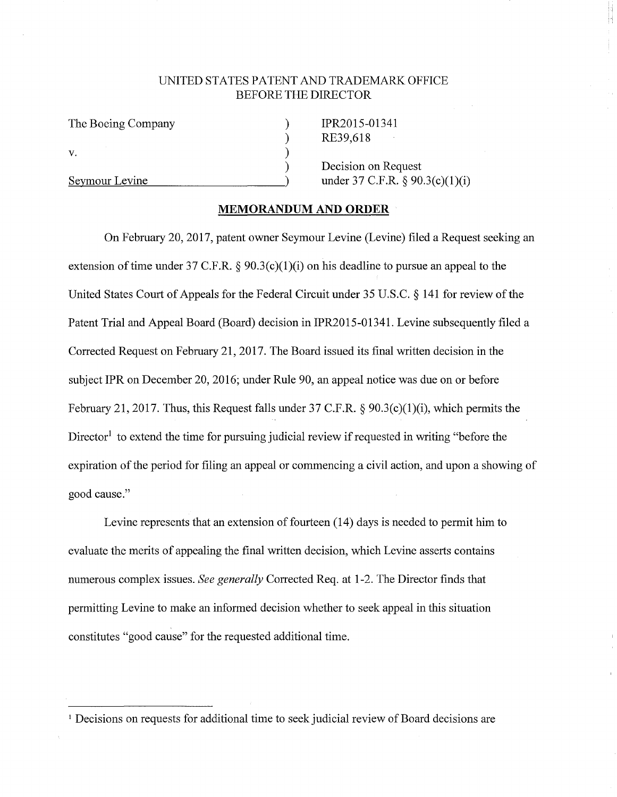## UNITED STATES PATENT AND TRADEMARK OFFICE BEFORE THE DIRECTOR

) ) )

The Boeing Company ) V.

IPR2015-01341 RE39,618

Decision on Request  $Sevmour Levine$  ) under 37 C.F.R.  $\&$  90.3(c)(1)(i)

## **MEMORANDUM AND ORDER**

On February 20, 2017, patent owner Seymour Levine (Levine) filed a Request seeking an extension of time under 37 C.F.R. §  $90.3(c)(1)(i)$  on his deadline to pursue an appeal to the United States Court of Appeals for the Federal Circuit under 35 U.S.C. § 141 for review of the Patent Trial and Appeal Board (Board) decision in IPR2015-01341. Levine subsequently filed a Corrected Request on February 21, 2017. The Board issued its final written decision in the subject IPR on December 20, 2016; under Rule 90, an appeal notice was due on or before February 21, 2017. Thus, this Request falls under 37 C.F.R.  $\&$  90.3(c)(1)(i), which permits the Director<sup>1</sup> to extend the time for pursuing judicial review if requested in writing "before the expiration of the period for filing an appeal or commencing a civil action, and upon a showing of good cause."

Levine represents that an extension of fourteen (14) days is needed to permit him to evaluate the merits of appealing the final written decision, which Levine asserts contains numerous complex issues. *See generally* Corrected Req. at 1-2. The Director finds that permitting Levine to make an informed decision whether to seek appeal in this situation constitutes "good cause" for the requested additional time.

<sup>&</sup>lt;sup>1</sup> Decisions on requests for additional time to seek judicial review of Board decisions are